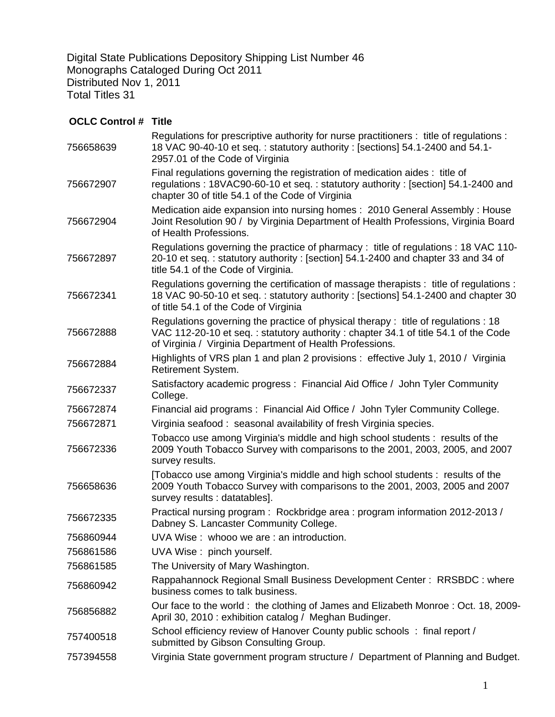Digital State Publications Depository Shipping List Number 46 Monographs Cataloged During Oct 2011 Distributed Nov 1, 2011 Total Titles 31

## **OCLC Control # Title**

| Regulations for prescriptive authority for nurse practitioners : title of regulations :<br>18 VAC 90-40-10 et seq.: statutory authority: [sections] 54.1-2400 and 54.1-<br>2957.01 of the Code of Virginia                          |
|-------------------------------------------------------------------------------------------------------------------------------------------------------------------------------------------------------------------------------------|
| Final regulations governing the registration of medication aides : title of<br>regulations: 18VAC90-60-10 et seq.: statutory authority: [section] 54.1-2400 and<br>chapter 30 of title 54.1 of the Code of Virginia                 |
| Medication aide expansion into nursing homes: 2010 General Assembly: House<br>Joint Resolution 90 / by Virginia Department of Health Professions, Virginia Board<br>of Health Professions.                                          |
| Regulations governing the practice of pharmacy: title of regulations: 18 VAC 110-<br>20-10 et seq.: statutory authority: [section] 54.1-2400 and chapter 33 and 34 of<br>title 54.1 of the Code of Virginia.                        |
| Regulations governing the certification of massage therapists : title of regulations :<br>18 VAC 90-50-10 et seq.: statutory authority: [sections] 54.1-2400 and chapter 30<br>of title 54.1 of the Code of Virginia                |
| Regulations governing the practice of physical therapy: title of regulations : 18<br>VAC 112-20-10 et seq.: statutory authority: chapter 34.1 of title 54.1 of the Code<br>of Virginia / Virginia Department of Health Professions. |
| Highlights of VRS plan 1 and plan 2 provisions : effective July 1, 2010 / Virginia<br>Retirement System.                                                                                                                            |
| Satisfactory academic progress: Financial Aid Office / John Tyler Community<br>College.                                                                                                                                             |
| Financial aid programs: Financial Aid Office / John Tyler Community College.                                                                                                                                                        |
| Virginia seafood: seasonal availability of fresh Virginia species.                                                                                                                                                                  |
| Tobacco use among Virginia's middle and high school students : results of the<br>2009 Youth Tobacco Survey with comparisons to the 2001, 2003, 2005, and 2007<br>survey results.                                                    |
| [Tobacco use among Virginia's middle and high school students: results of the<br>2009 Youth Tobacco Survey with comparisons to the 2001, 2003, 2005 and 2007<br>survey results : datatables].                                       |
| Practical nursing program: Rockbridge area: program information 2012-2013 /<br>Dabney S. Lancaster Community College.                                                                                                               |
| UVA Wise: whooo we are: an introduction.                                                                                                                                                                                            |
| UVA Wise: pinch yourself.                                                                                                                                                                                                           |
| The University of Mary Washington.                                                                                                                                                                                                  |
| Rappahannock Regional Small Business Development Center: RRSBDC: where<br>business comes to talk business.                                                                                                                          |
| Our face to the world: the clothing of James and Elizabeth Monroe: Oct. 18, 2009-<br>April 30, 2010 : exhibition catalog / Meghan Budinger.                                                                                         |
| School efficiency review of Hanover County public schools: final report /<br>submitted by Gibson Consulting Group.                                                                                                                  |
| Virginia State government program structure / Department of Planning and Budget.                                                                                                                                                    |
|                                                                                                                                                                                                                                     |